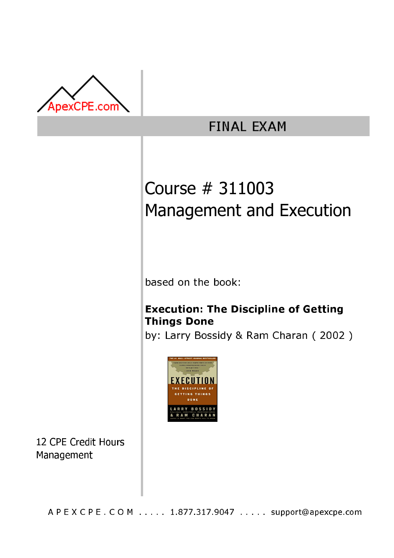

## **FINAL EXAM**

# Course # 311003 Management and Execution

based on the book:

### **Execution: The Discipline of Getting Things Done**

by: Larry Bossidy & Ram Charan (2002)



12 CPE Credit Hours Management

A P E X C P E . C O M . . . . . 1.877.317.9047 . . . . . support@apexcpe.com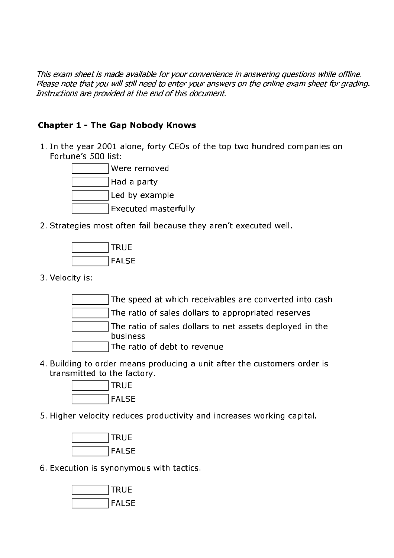This exam sheet is made available for your convenience in answering questions while offline. Please note that you will still need to enter your answers on the online exam sheet for grading. Instructions are provided at the end of this document.

#### **Chapter 1 - The Gap Nobody Knows**

1. In the year 2001 alone, forty CEOs of the top two hundred companies on Fortune's 500 list:



2. Strategies most often fail because they aren't executed well.



3. Velocity is:

The speed at which receivables are converted into cash

The ratio of sales dollars to appropriated reserves

The ratio of sales dollars to net assets deployed in the business

- The ratio of debt to revenue
- 4. Building to order means producing a unit after the customers order is transmitted to the factory.



5. Higher velocity reduces productivity and increases working capital.



6. Execution is synonymous with tactics.

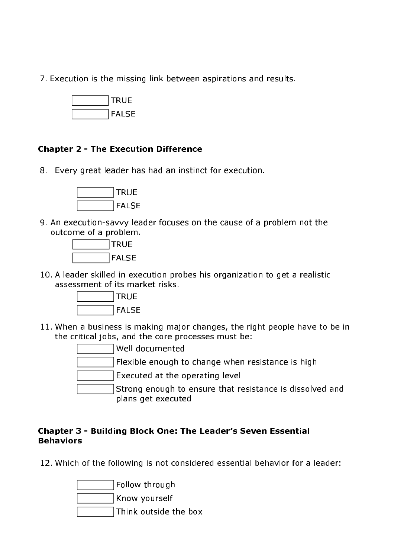7. Execution is the missing link between aspirations and results.



#### **Chapter 2 - The Execution Difference**

8. Every great leader has had an instinct for execution.



9. An execution-sayyy leader focuses on the cause of a problem not the outcome of a problem.



10. A leader skilled in execution probes his organization to get a realistic assessment of its market risks.



11. When a business is making major changes, the right people have to be in the critical jobs, and the core processes must be:

> Well documented Flexible enough to change when resistance is high Executed at the operating level Strong enough to ensure that resistance is dissolved and plans get executed

#### **Chapter 3 - Building Block One: The Leader's Seven Essential Behaviors**

12. Which of the following is not considered essential behavior for a leader:

Follow through Know vourself Think outside the box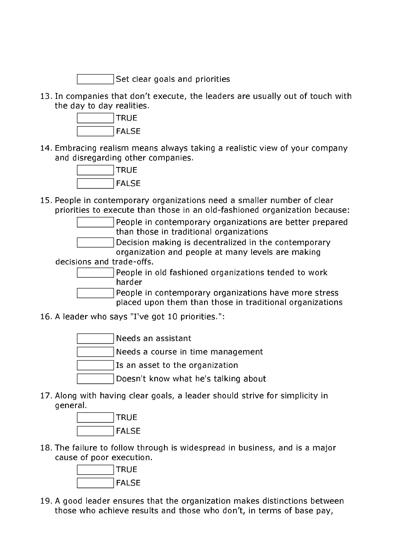Set clear goals and priorities

13. In companies that don't execute, the leaders are usually out of touch with the day to day realities.



14. Embracing realism means always taking a realistic view of your company and disregarding other companies.



15. People in contemporary organizations need a smaller number of clear priorities to execute than those in an old-fashioned organization because:

> People in contemporary organizations are better prepared than those in traditional organizations

Decision making is decentralized in the contemporary organization and people at many levels are making

decisions and trade-offs.

People in old fashioned organizations tended to work harder

People in contemporary organizations have more stress placed upon them than those in traditional organizations

16. A leader who says "I've got 10 priorities.":

Needs an assistant Needs a course in time management Is an asset to the organization Doesn't know what he's talking about

17. Along with having clear goals, a leader should strive for simplicity in general.



18. The failure to follow through is widespread in business, and is a major cause of poor execution.



19. A good leader ensures that the organization makes distinctions between those who achieve results and those who don't, in terms of base pay,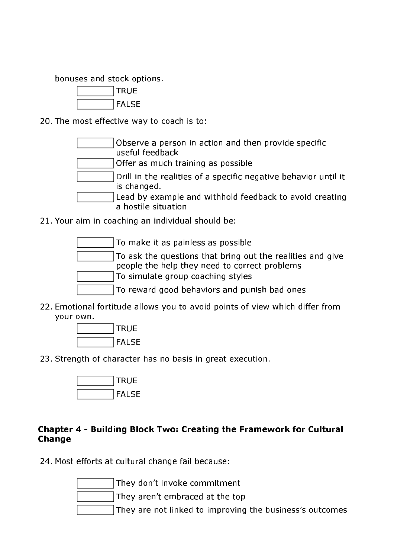bonuses and stock options.



20. The most effective way to coach is to:

| Observe a person in action and then provide specific            |
|-----------------------------------------------------------------|
| useful feedback                                                 |
| Offer as much training as possible                              |
| Drill in the realities of a specific negative behavior until it |
| is changed.                                                     |
| Lead by example and withhold feedback to avoid creating         |
| a hostile situation                                             |

21. Your aim in coaching an individual should be:

| To make it as painless as possible                                                                          |
|-------------------------------------------------------------------------------------------------------------|
| To ask the questions that bring out the realities and give<br>people the help they need to correct problems |
| To simulate group coaching styles                                                                           |
| To reward good behaviors and punish bad ones                                                                |

22. Emotional fortitude allows you to avoid points of view which differ from your own.



23. Strength of character has no basis in great execution.



#### Chapter 4 - Building Block Two: Creating the Framework for Cultural Change

24. Most efforts at cultural change fail because:

They don't invoke commitment

They aren't embraced at the top

They are not linked to improving the business's outcomes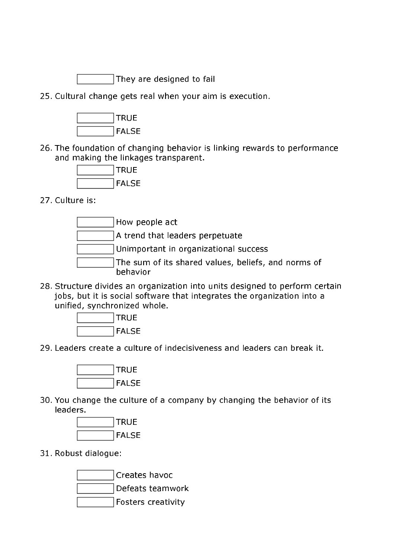They are designed to fail

25. Cultural change gets real when your aim is execution.



26. The foundation of changing behavior is linking rewards to performance and making the linkages transparent.



27. Culture is:

How people act A trend that leaders perpetuate Unimportant in organizational success The sum of its shared values, beliefs, and norms of behavior

28. Structure divides an organization into units designed to perform certain jobs, but it is social software that integrates the organization into a unified, synchronized whole.



29. Leaders create a culture of indecisiveness and leaders can break it.



30. You change the culture of a company by changing the behavior of its leaders.



31. Robust dialogue:

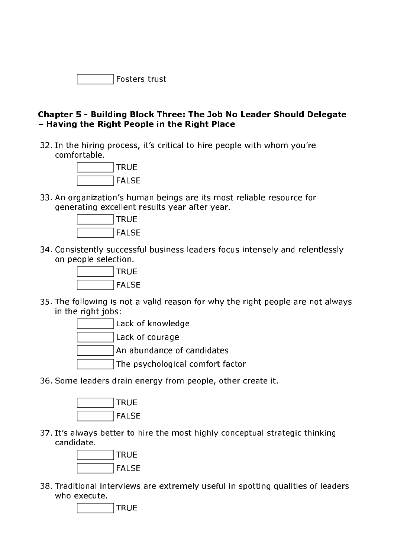#### Chapter 5 - Building Block Three: The Job No Leader Should Delegate - Having the Right People in the Right Place

32. In the hiring process, it's critical to hire people with whom you're comfortable.



33. An organization's human beings are its most reliable resource for generating excellent results year after year.



34. Consistently successful business leaders focus intensely and relentlessly on people selection.



35. The following is not a valid reason for why the right people are not always in the right jobs:



36. Some leaders drain energy from people, other create it.



37. It's always better to hire the most highly conceptual strategic thinking candidate.



38. Traditional interviews are extremely useful in spotting qualities of leaders who execute.

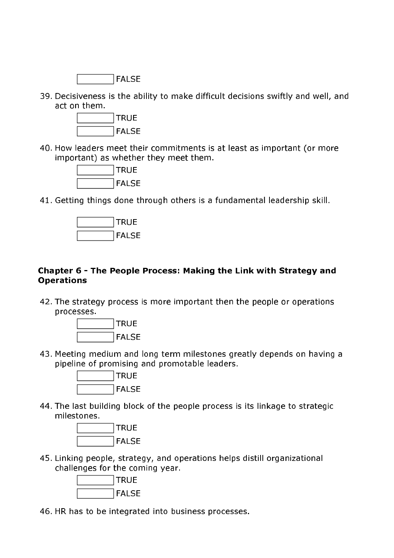

39. Decisiveness is the ability to make difficult decisions swiftly and well, and act on them.



40. How leaders meet their commitments is at least as important (or more important) as whether they meet them.



41. Getting things done through others is a fundamental leadership skill.



#### Chapter 6 - The People Process: Making the Link with Strategy and **Operations**

42. The strategy process is more important then the people or operations processes.



43. Meeting medium and long term milestones greatly depends on having a pipeline of promising and promotable leaders.



44. The last building block of the people process is its linkage to strategic milestones.



45. Linking people, strategy, and operations helps distill organizational challenges for the coming year.



46. HR has to be integrated into business processes.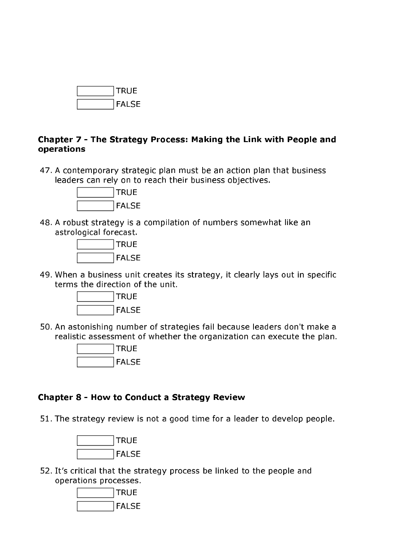

#### Chapter 7 - The Strategy Process: Making the Link with People and operations

47. A contemporary strategic plan must be an action plan that business leaders can rely on to reach their business objectives.



48. A robust strategy is a compilation of numbers somewhat like an astrological forecast.



49. When a business unit creates its strategy, it clearly lays out in specific terms the direction of the unit.



50. An astonishing number of strategies fail because leaders don't make a realistic assessment of whether the organization can execute the plan.



#### **Chapter 8 - How to Conduct a Strategy Review**

51. The strategy review is not a good time for a leader to develop people.



52. It's critical that the strategy process be linked to the people and operations processes.

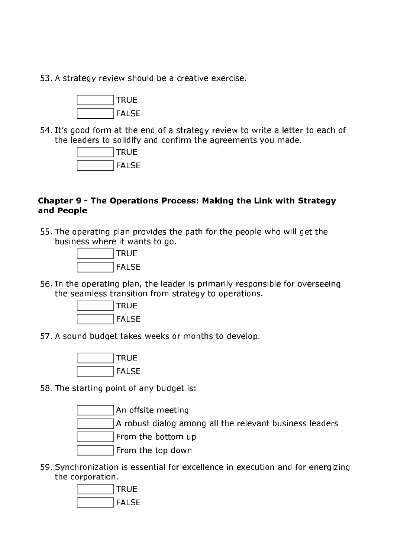53. A strategy review should be a creative exercise.



54. It's good form at the end of a strategy review to write a letter to each of the leaders to solidify and confirm the agreements you made.



#### Chapter 9 - The Operations Process: Making the Link with Strategy and People

55. The operating plan provides the path for the people who will get the business where it wants to go.



56. In the operating plan, the leader is primarily responsible for overseeing the seamless transition from strategy to operations.



57. A sound budget takes weeks or months to develop.



58. The starting point of any budget is:

An offsite meeting

A robust dialog among all the relevant business leaders

From the bottom up

From the top down

59. Synchronization is essential for excellence in execution and for energizing the corporation.